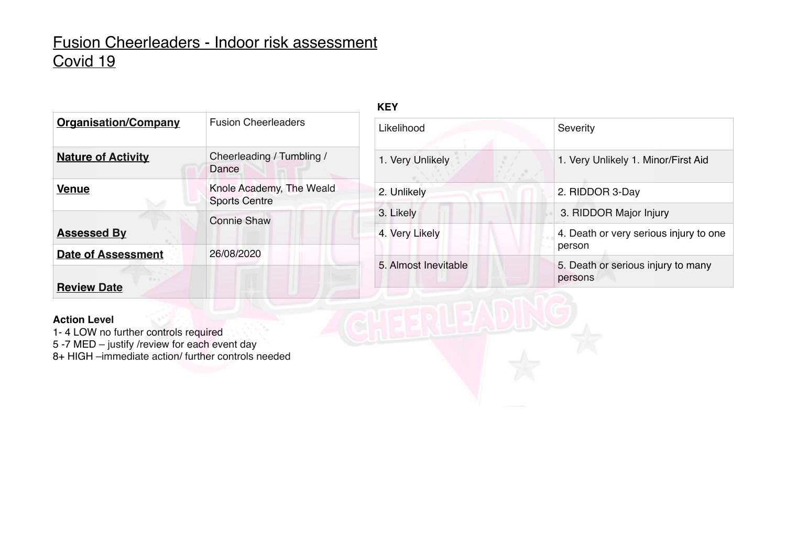**KEY**

| <b>Organisation/Company</b> | <b>Fusion Cheerleaders</b>                       |
|-----------------------------|--------------------------------------------------|
| <b>Nature of Activity</b>   | Cheerleading / Tumbling /<br>Dance               |
| <b>Venue</b>                | Knole Academy, The Weald<br><b>Sports Centre</b> |
| <b>Assessed By</b>          | <b>Connie Shaw</b>                               |
| <b>Date of Assessment</b>   | 26/08/2020                                       |
| <b>Review Date</b>          |                                                  |

| Likelihood           | Severity                                         |
|----------------------|--------------------------------------------------|
| 1. Very Unlikely     | 1. Very Unlikely 1. Minor/First Aid              |
| 2. Unlikely          | 2. RIDDOR 3-Day                                  |
| 3. Likely            | 3. RIDDOR Major Injury                           |
| 4. Very Likely       | 4. Death or very serious injury to one<br>person |
| 5. Almost Inevitable | 5. Death or serious injury to many<br>persons    |
|                      |                                                  |

#### **Action Level**

1- 4 LOW no further controls required

5 -7 MED – justify /review for each event day

8+ HIGH –immediate action/ further controls needed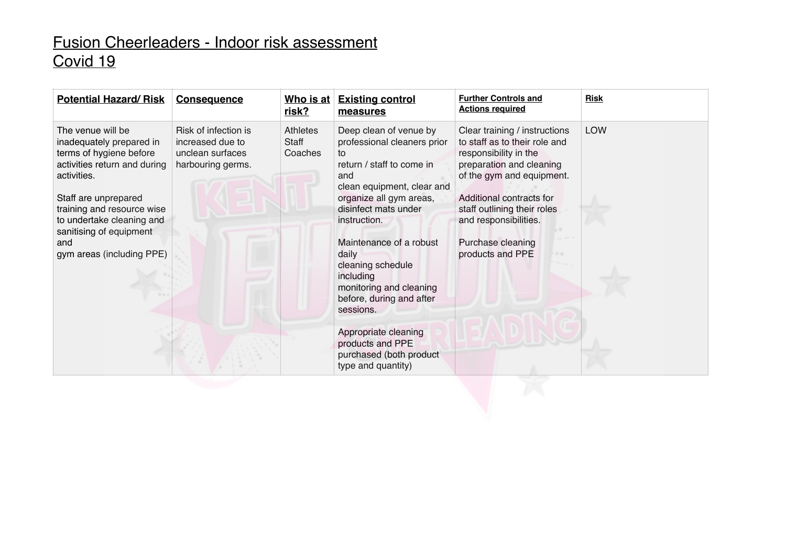| <b>Potential Hazard/Risk</b>                                                                                                                                                                                                                                              | <b>Consequence</b>                                                                | <u>Who is at</u><br>risk?    | <b>Existing control</b><br>measures                                                                                                                                                                                                                                                                                                        | <b>Further Controls and</b><br><b>Actions required</b>                                                                                                                                                                                                                        | <b>Risk</b> |
|---------------------------------------------------------------------------------------------------------------------------------------------------------------------------------------------------------------------------------------------------------------------------|-----------------------------------------------------------------------------------|------------------------------|--------------------------------------------------------------------------------------------------------------------------------------------------------------------------------------------------------------------------------------------------------------------------------------------------------------------------------------------|-------------------------------------------------------------------------------------------------------------------------------------------------------------------------------------------------------------------------------------------------------------------------------|-------------|
| The venue will be<br>inadequately prepared in<br>terms of hygiene before<br>activities return and during<br>activities.<br>Staff are unprepared<br>training and resource wise<br>to undertake cleaning and<br>sanitising of equipment<br>and<br>gym areas (including PPE) | Risk of infection is<br>increased due to<br>unclean surfaces<br>harbouring germs. | Athletes<br>Staff<br>Coaches | Deep clean of venue by<br>professional cleaners prior<br>to<br>return / staff to come in<br>and<br>clean equipment, clear and<br>organize all gym areas,<br>disinfect mats under<br>instruction.<br>Maintenance of a robust<br>daily<br>cleaning schedule<br>including<br>monitoring and cleaning<br>before, during and after<br>sessions. | Clear training / instructions<br>to staff as to their role and<br>responsibility in the<br>preparation and cleaning<br>of the gym and equipment.<br>Additional contracts for<br>staff outlining their roles<br>and responsibilities.<br>Purchase cleaning<br>products and PPE | <b>LOW</b>  |
|                                                                                                                                                                                                                                                                           |                                                                                   |                              | Appropriate cleaning<br>products and PPE<br>purchased (both product<br>type and quantity)                                                                                                                                                                                                                                                  |                                                                                                                                                                                                                                                                               |             |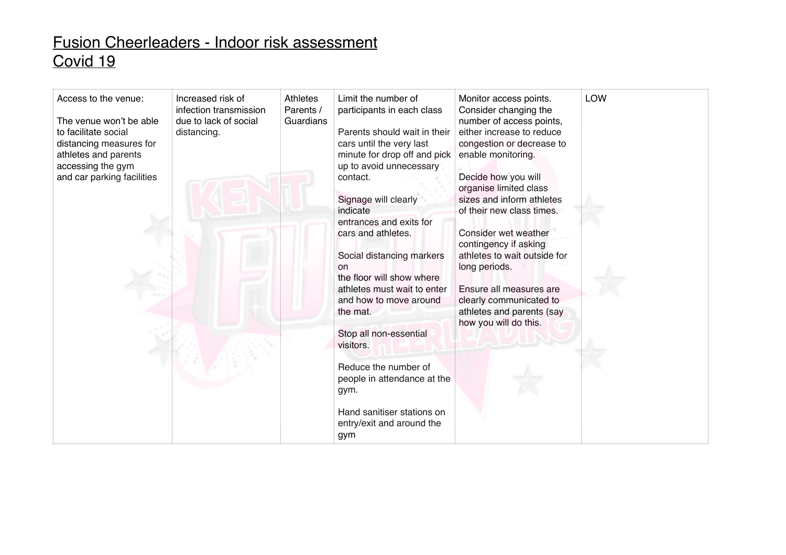| Access to the venue:<br>The venue won't be able<br>to facilitate social<br>distancing measures for<br>athletes and parents<br>accessing the gym<br>and car parking facilities | Increased risk of<br>infection transmission<br>due to lack of social<br>distancing. | Athletes<br>Parents /<br>Guardians | Limit the number of<br>participants in each class<br>Parents should wait in their<br>cars until the very last<br>minute for drop off and pick<br>up to avoid unnecessary<br>contact.<br>Signage will clearly<br>indicate | Monitor access points.<br>Consider changing the<br>number of access points,<br>either increase to reduce<br>congestion or decrease to<br>enable monitoring.<br>Decide how you will<br>organise limited class<br>sizes and inform athletes<br>of their new class times. | LOW |
|-------------------------------------------------------------------------------------------------------------------------------------------------------------------------------|-------------------------------------------------------------------------------------|------------------------------------|--------------------------------------------------------------------------------------------------------------------------------------------------------------------------------------------------------------------------|------------------------------------------------------------------------------------------------------------------------------------------------------------------------------------------------------------------------------------------------------------------------|-----|
|                                                                                                                                                                               |                                                                                     |                                    | entrances and exits for<br>cars and athletes.<br>Social distancing markers<br><sub>on</sub><br>the floor will show where<br>athletes must wait to enter<br>and how to move around<br>the mat.                            | Consider wet weather<br>contingency if asking<br>athletes to wait outside for<br>long periods.<br>Ensure all measures are<br>clearly communicated to<br>athletes and parents (say<br>how you will do this.                                                             |     |
|                                                                                                                                                                               |                                                                                     |                                    | Stop all non-essential<br>visitors.<br>Reduce the number of<br>people in attendance at the<br>gym.<br>Hand sanitiser stations on<br>entry/exit and around the<br>gym                                                     |                                                                                                                                                                                                                                                                        |     |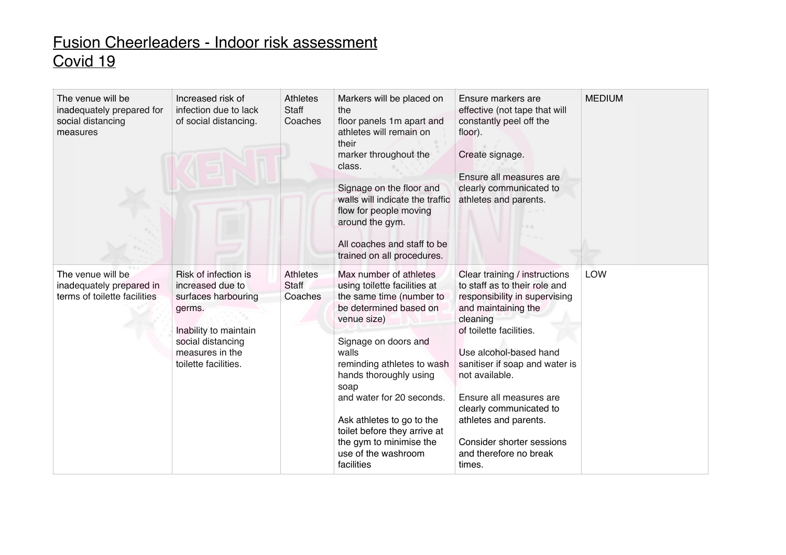| The venue will be<br>inadequately prepared for<br>social distancing<br>measures | Increased risk of<br>infection due to lack<br>of social distancing.                                                                                                | <b>Athletes</b><br><b>Staff</b><br>Coaches | Markers will be placed on<br>the<br>floor panels 1m apart and<br>athletes will remain on<br>their<br>marker throughout the<br>class.<br>Signage on the floor and<br>walls will indicate the traffic<br>flow for people moving<br>around the gym.<br>All coaches and staff to be<br>trained on all procedures.                                                                          | Ensure markers are<br>effective (not tape that will<br>constantly peel off the<br>floor).<br>Create signage.<br>Ensure all measures are<br>clearly communicated to<br>athletes and parents.                                                                                                                                                                                                 | <b>MEDIUM</b> |
|---------------------------------------------------------------------------------|--------------------------------------------------------------------------------------------------------------------------------------------------------------------|--------------------------------------------|----------------------------------------------------------------------------------------------------------------------------------------------------------------------------------------------------------------------------------------------------------------------------------------------------------------------------------------------------------------------------------------|---------------------------------------------------------------------------------------------------------------------------------------------------------------------------------------------------------------------------------------------------------------------------------------------------------------------------------------------------------------------------------------------|---------------|
| The venue will be<br>inadequately prepared in<br>terms of toilette facilities   | Risk of infection is<br>increased due to<br>surfaces harbouring<br>germs.<br>Inability to maintain<br>social distancing<br>measures in the<br>toilette facilities. | <b>Athletes</b><br>Staff<br>Coaches        | Max number of athletes<br>using toilette facilities at<br>the same time (number to<br>be determined based on<br>venue size)<br>Signage on doors and<br>walls<br>reminding athletes to wash<br>hands thoroughly using<br>soap<br>and water for 20 seconds.<br>Ask athletes to go to the<br>toilet before they arrive at<br>the gym to minimise the<br>use of the washroom<br>facilities | Clear training / instructions<br>to staff as to their role and<br>responsibility in supervising<br>and maintaining the<br>cleaning<br>of toilette facilities.<br>Use alcohol-based hand<br>sanitiser if soap and water is<br>not available.<br>Ensure all measures are<br>clearly communicated to<br>athletes and parents.<br>Consider shorter sessions<br>and therefore no break<br>times. | LOW           |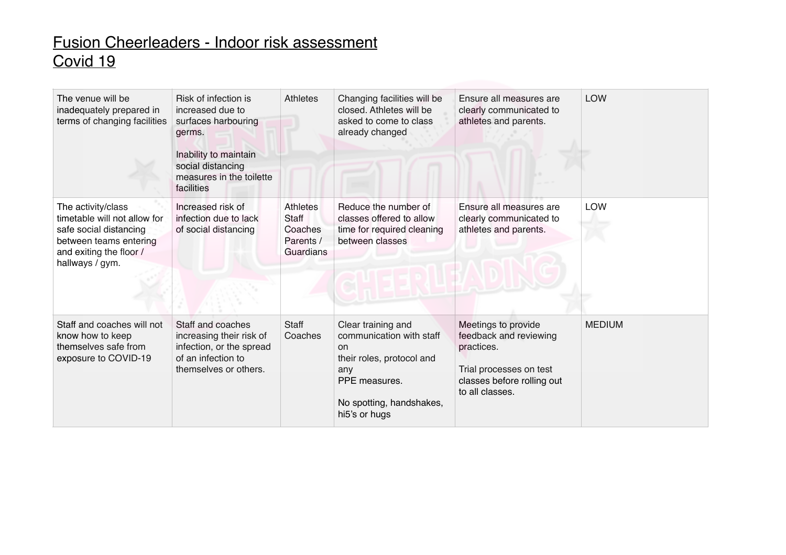| The venue will be<br>inadequately prepared in<br>terms of changing facilities                                                                        | Risk of infection is<br>increased due to<br>surfaces harbouring<br>germs.<br>Inability to maintain<br>social distancing<br>measures in the toilette<br>facilities | Athletes                                                      | Changing facilities will be<br>closed. Athletes will be<br>asked to come to class<br>already changed                                                              | Ensure all measures are<br>clearly communicated to<br>athletes and parents.                                                             | <b>LOW</b>    |
|------------------------------------------------------------------------------------------------------------------------------------------------------|-------------------------------------------------------------------------------------------------------------------------------------------------------------------|---------------------------------------------------------------|-------------------------------------------------------------------------------------------------------------------------------------------------------------------|-----------------------------------------------------------------------------------------------------------------------------------------|---------------|
| The activity/class<br>timetable will not allow for<br>safe social distancing<br>between teams entering<br>and exiting the floor /<br>hallways / gym. | Increased risk of<br>infection due to lack<br>of social distancing                                                                                                | <b>Athletes</b><br>Staff<br>Coaches<br>Parents /<br>Guardians | Reduce the number of<br>classes offered to allow<br>time for required cleaning<br>between classes                                                                 | Ensure all measures are<br>clearly communicated to<br>athletes and parents.                                                             | <b>LOW</b>    |
| Staff and coaches will not<br>know how to keep<br>themselves safe from<br>exposure to COVID-19                                                       | Staff and coaches<br>increasing their risk of<br>infection, or the spread<br>of an infection to<br>themselves or others.                                          | <b>Staff</b><br>Coaches                                       | Clear training and<br>communication with staff<br><sub>on</sub><br>their roles, protocol and<br>any<br>PPE measures.<br>No spotting, handshakes,<br>hi5's or hugs | Meetings to provide<br>feedback and reviewing<br>practices.<br>Trial processes on test<br>classes before rolling out<br>to all classes. | <b>MEDIUM</b> |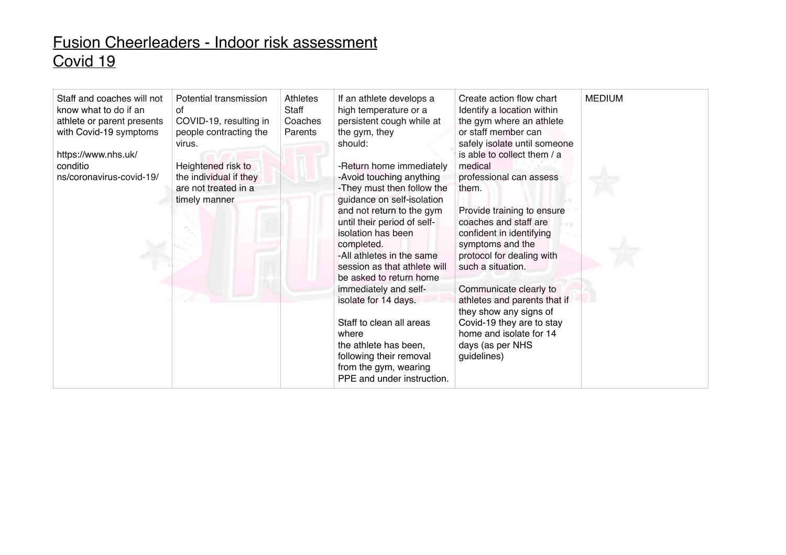| Staff and coaches will not<br>know what to do if an<br>athlete or parent presents<br>with Covid-19 symptoms<br>https://www.nhs.uk/<br>conditio<br>ns/coronavirus-covid-19/ | Potential transmission<br>0f<br>COVID-19, resulting in<br>people contracting the<br>virus.<br>Heightened risk to<br>the individual if they<br>are not treated in a<br>timely manner | Athletes<br>Staff<br>Coaches<br>Parents | If an athlete develops a<br>high temperature or a<br>persistent cough while at<br>the gym, they<br>should:<br>-Return home immediately<br>-Avoid touching anything<br>-They must then follow the<br>guidance on self-isolation<br>and not return to the gym<br>until their period of self-<br>isolation has been<br>completed.<br>-All athletes in the same<br>session as that athlete will<br>be asked to return home<br>immediately and self-<br>isolate for 14 days.<br>Staff to clean all areas<br>where<br>the athlete has been,<br>following their removal<br>from the gym, wearing<br>PPE and under instruction. | Create action flow chart<br>Identify a location within<br>the gym where an athlete<br>or staff member can<br>safely isolate until someone<br>is able to collect them / a<br>medical<br>professional can assess<br>them.<br>Provide training to ensure<br>coaches and staff are<br>confident in identifying<br>symptoms and the<br>protocol for dealing with<br>such a situation.<br>Communicate clearly to<br>athletes and parents that if<br>they show any signs of<br>Covid-19 they are to stay<br>home and isolate for 14<br>days (as per NHS<br>guidelines) | <b>MEDIUM</b> |
|----------------------------------------------------------------------------------------------------------------------------------------------------------------------------|-------------------------------------------------------------------------------------------------------------------------------------------------------------------------------------|-----------------------------------------|-------------------------------------------------------------------------------------------------------------------------------------------------------------------------------------------------------------------------------------------------------------------------------------------------------------------------------------------------------------------------------------------------------------------------------------------------------------------------------------------------------------------------------------------------------------------------------------------------------------------------|-----------------------------------------------------------------------------------------------------------------------------------------------------------------------------------------------------------------------------------------------------------------------------------------------------------------------------------------------------------------------------------------------------------------------------------------------------------------------------------------------------------------------------------------------------------------|---------------|
|----------------------------------------------------------------------------------------------------------------------------------------------------------------------------|-------------------------------------------------------------------------------------------------------------------------------------------------------------------------------------|-----------------------------------------|-------------------------------------------------------------------------------------------------------------------------------------------------------------------------------------------------------------------------------------------------------------------------------------------------------------------------------------------------------------------------------------------------------------------------------------------------------------------------------------------------------------------------------------------------------------------------------------------------------------------------|-----------------------------------------------------------------------------------------------------------------------------------------------------------------------------------------------------------------------------------------------------------------------------------------------------------------------------------------------------------------------------------------------------------------------------------------------------------------------------------------------------------------------------------------------------------------|---------------|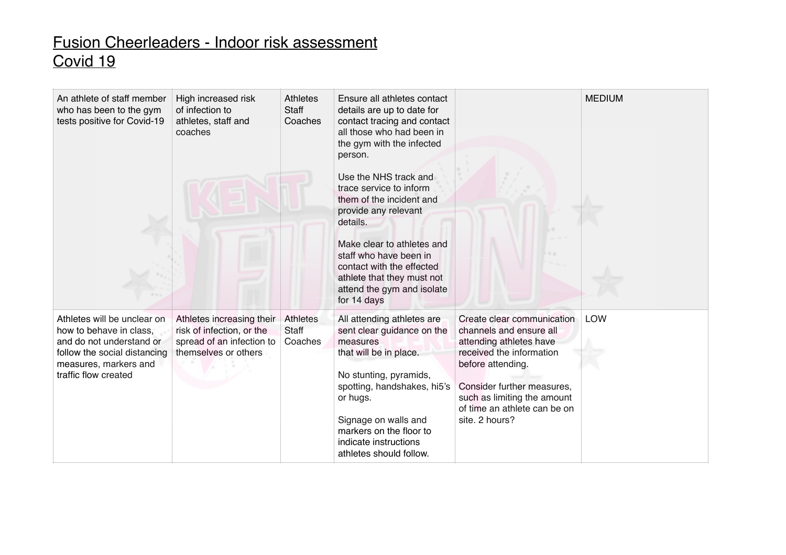| An athlete of staff member<br>who has been to the gym<br>tests positive for Covid-19                                                                                | High increased risk<br>of infection to<br>athletes, staff and<br>coaches                                    | <b>Athletes</b><br>Staff<br>Coaches | Ensure all athletes contact<br>details are up to date for<br>contact tracing and contact<br>all those who had been in<br>the gym with the infected<br>person.<br>Use the NHS track and<br>trace service to inform<br>them of the incident and<br>provide any relevant<br>details.<br>Make clear to athletes and<br>staff who have been in<br>contact with the effected<br>athlete that they must not<br>attend the gym and isolate<br>for 14 days |                                                                                                                                                                                                                                                  | <b>MEDIUM</b> |
|---------------------------------------------------------------------------------------------------------------------------------------------------------------------|-------------------------------------------------------------------------------------------------------------|-------------------------------------|---------------------------------------------------------------------------------------------------------------------------------------------------------------------------------------------------------------------------------------------------------------------------------------------------------------------------------------------------------------------------------------------------------------------------------------------------|--------------------------------------------------------------------------------------------------------------------------------------------------------------------------------------------------------------------------------------------------|---------------|
| Athletes will be unclear on<br>how to behave in class,<br>and do not understand or<br>follow the social distancing<br>measures, markers and<br>traffic flow created | Athletes increasing their<br>risk of infection, or the<br>spread of an infection to<br>themselves or others | <b>Athletes</b><br>Staff<br>Coaches | All attending athletes are<br>sent clear guidance on the<br>measures<br>that will be in place.<br>No stunting, pyramids,<br>spotting, handshakes, hi5's<br>or hugs.<br>Signage on walls and<br>markers on the floor to<br>indicate instructions<br>athletes should follow.                                                                                                                                                                        | Create clear communication<br>channels and ensure all<br>attending athletes have<br>received the information<br>before attending.<br>Consider further measures,<br>such as limiting the amount<br>of time an athlete can be on<br>site. 2 hours? | <b>LOW</b>    |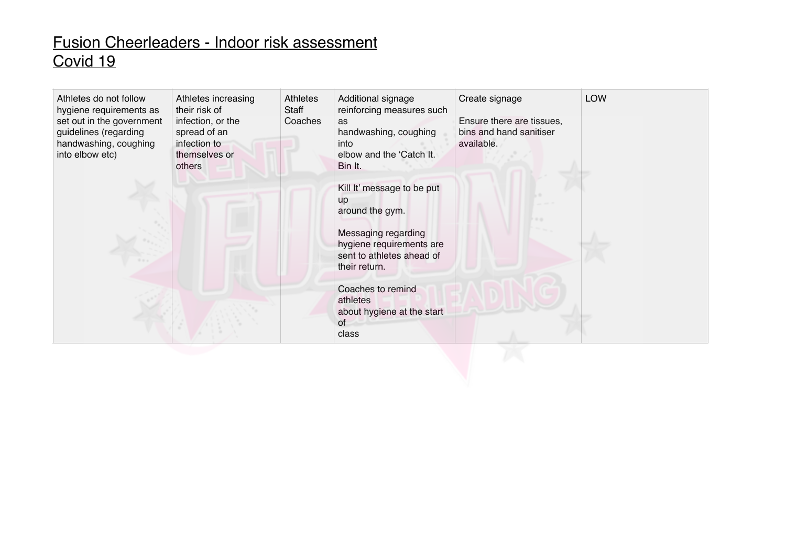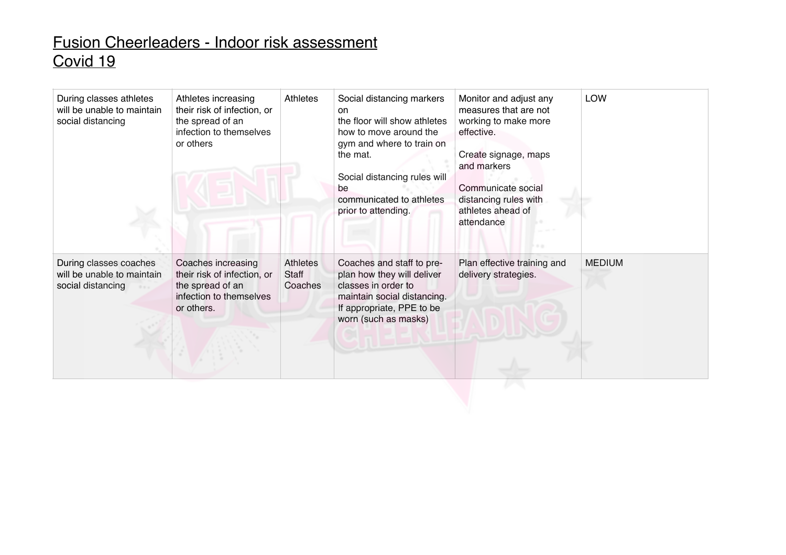| During classes athletes<br>will be unable to maintain<br>social distancing | Athletes increasing<br>their risk of infection, or<br>the spread of an<br>infection to themselves<br>or others | Athletes                            | Social distancing markers<br>on<br>the floor will show athletes<br>how to move around the<br>gym and where to train on<br>the mat.<br>Social distancing rules will<br>be<br>communicated to athletes<br>prior to attending. | Monitor and adjust any<br>measures that are not<br>working to make more<br>effective.<br>Create signage, maps<br>and markers<br>Communicate social<br>distancing rules with<br>athletes ahead of<br>attendance | <b>LOW</b>    |
|----------------------------------------------------------------------------|----------------------------------------------------------------------------------------------------------------|-------------------------------------|-----------------------------------------------------------------------------------------------------------------------------------------------------------------------------------------------------------------------------|----------------------------------------------------------------------------------------------------------------------------------------------------------------------------------------------------------------|---------------|
| During classes coaches<br>will be unable to maintain<br>social distancing  | Coaches increasing<br>their risk of infection, or<br>the spread of an<br>infection to themselves<br>or others. | Athletes<br><b>Staff</b><br>Coaches | Coaches and staff to pre-<br>plan how they will deliver<br>classes in order to<br>maintain social distancing.<br>If appropriate, PPE to be<br>worn (such as masks)                                                          | Plan effective training and<br>delivery strategies.                                                                                                                                                            | <b>MEDIUM</b> |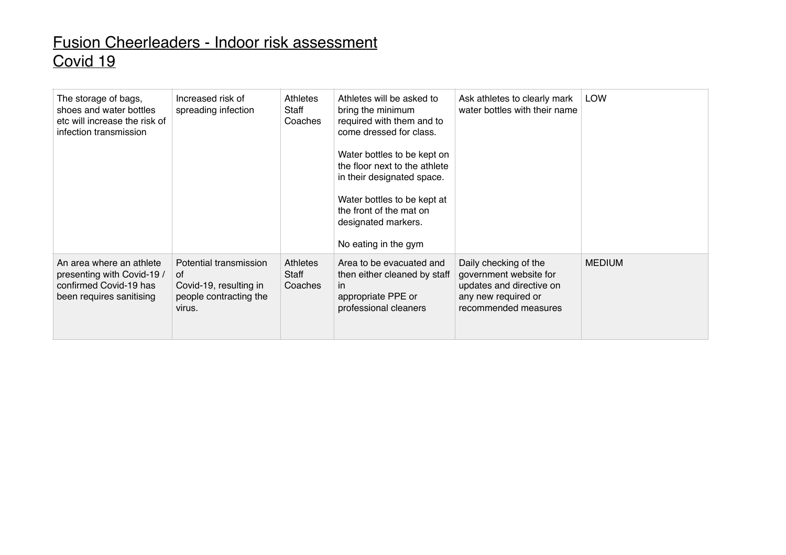| The storage of bags,<br>shoes and water bottles<br>etc will increase the risk of<br>infection transmission   | Increased risk of<br>spreading infection                                                   | Athletes<br>Staff<br>Coaches | Athletes will be asked to<br>bring the minimum<br>required with them and to<br>come dressed for class.<br>Water bottles to be kept on<br>the floor next to the athlete<br>in their designated space.<br>Water bottles to be kept at<br>the front of the mat on<br>designated markers.<br>No eating in the gym | Ask athletes to clearly mark<br>water bottles with their name                                                              | <b>LOW</b>    |
|--------------------------------------------------------------------------------------------------------------|--------------------------------------------------------------------------------------------|------------------------------|---------------------------------------------------------------------------------------------------------------------------------------------------------------------------------------------------------------------------------------------------------------------------------------------------------------|----------------------------------------------------------------------------------------------------------------------------|---------------|
| An area where an athlete<br>presenting with Covid-19 /<br>confirmed Covid-19 has<br>been requires sanitising | Potential transmission<br>of<br>Covid-19, resulting in<br>people contracting the<br>virus. | Athletes<br>Staff<br>Coaches | Area to be evacuated and<br>then either cleaned by staff<br><i>in</i><br>appropriate PPE or<br>professional cleaners                                                                                                                                                                                          | Daily checking of the<br>government website for<br>updates and directive on<br>any new required or<br>recommended measures | <b>MEDIUM</b> |